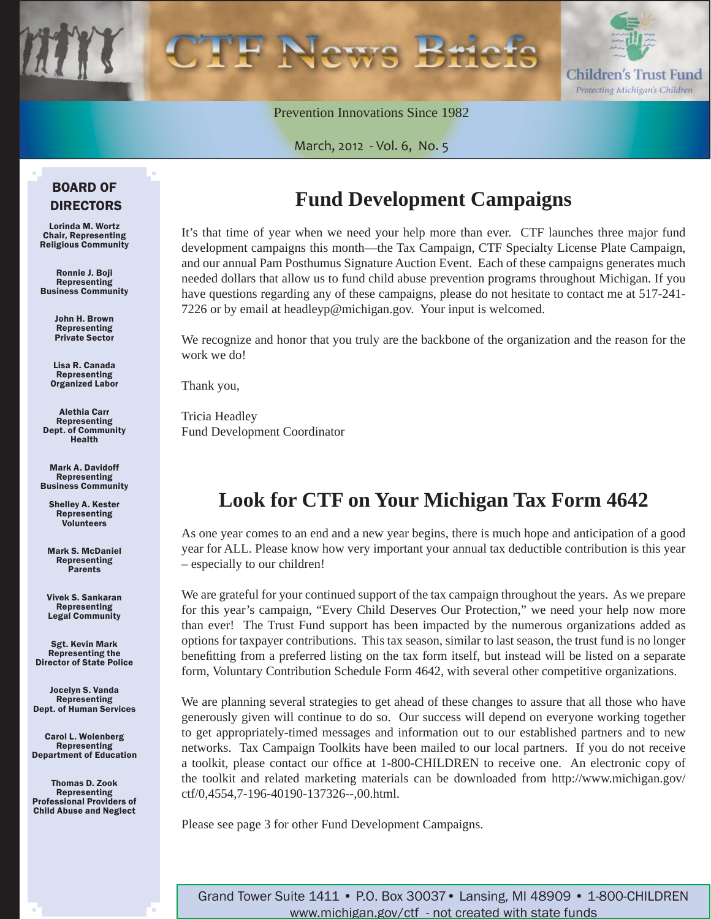

Prevention Innovations Since 1982

March, 2012 - Vol. 6, No. 5

### BOARD OF DIRECTORS

Lorinda M. Wortz Chair, Representing Religious Community

Ronnie J. Boji Representing Business Community

> John H. Brown Representing Private Sector

Lisa R. Canada Representing Organized Labor

Alethia Carr Representing Dept. of Community Health

Mark A. Davidoff Representing Business Community

Shelley A. Kester Representing Volunteers

Mark S. McDaniel Representing Parents

Vivek S. Sankaran Representing Legal Community

Sgt. Kevin Mark Representing the Director of State Police

Jocelyn S. Vanda Representing Dept. of Human Services

Carol L. Wolenberg Representing Department of Education

Thomas D. Zook Representing Professional Providers of Child Abuse and Neglect

## **Fund Development Campaigns**

It's that time of year when we need your help more than ever. CTF launches three major fund development campaigns this month—the Tax Campaign, CTF Specialty License Plate Campaign, and our annual Pam Posthumus Signature Auction Event. Each of these campaigns generates much needed dollars that allow us to fund child abuse prevention programs throughout Michigan. If you have questions regarding any of these campaigns, please do not hesitate to contact me at 517-241- 7226 or by email at headleyp@michigan.gov. Your input is welcomed.

We recognize and honor that you truly are the backbone of the organization and the reason for the work we do!

Thank you,

Tricia Headley Fund Development Coordinator

## **Look for CTF on Your Michigan Tax Form 4642**

As one year comes to an end and a new year begins, there is much hope and anticipation of a good year for ALL. Please know how very important your annual tax deductible contribution is this year – especially to our children!

We are grateful for your continued support of the tax campaign throughout the years. As we prepare for this year's campaign, "Every Child Deserves Our Protection," we need your help now more than ever! The Trust Fund support has been impacted by the numerous organizations added as options for taxpayer contributions. This tax season, similar to last season, the trust fund is no longer benefitting from a preferred listing on the tax form itself, but instead will be listed on a separate form, Voluntary Contribution Schedule Form 4642, with several other competitive organizations.

We are planning several strategies to get ahead of these changes to assure that all those who have generously given will continue to do so. Our success will depend on everyone working together to get appropriately-timed messages and information out to our established partners and to new networks. Tax Campaign Toolkits have been mailed to our local partners. If you do not receive a toolkit, please contact our office at 1-800-CHILDREN to receive one. An electronic copy of [the toolkit and related marketing materials can be downloaded from http://www.michigan.gov/](www.michigan.gov/ctf/0,4554,7-196-40190-137326--,00.html) ctf/0,4554,7-196-40190-137326--,00.html.

Please see page 3 for other Fund Development Campaigns.

Grand Tower Suite 1411 • P.O. Box 30037• Lansing, MI 48909 • 1-800-CHILDREN www.michigan.gov/ctf - not created with state funds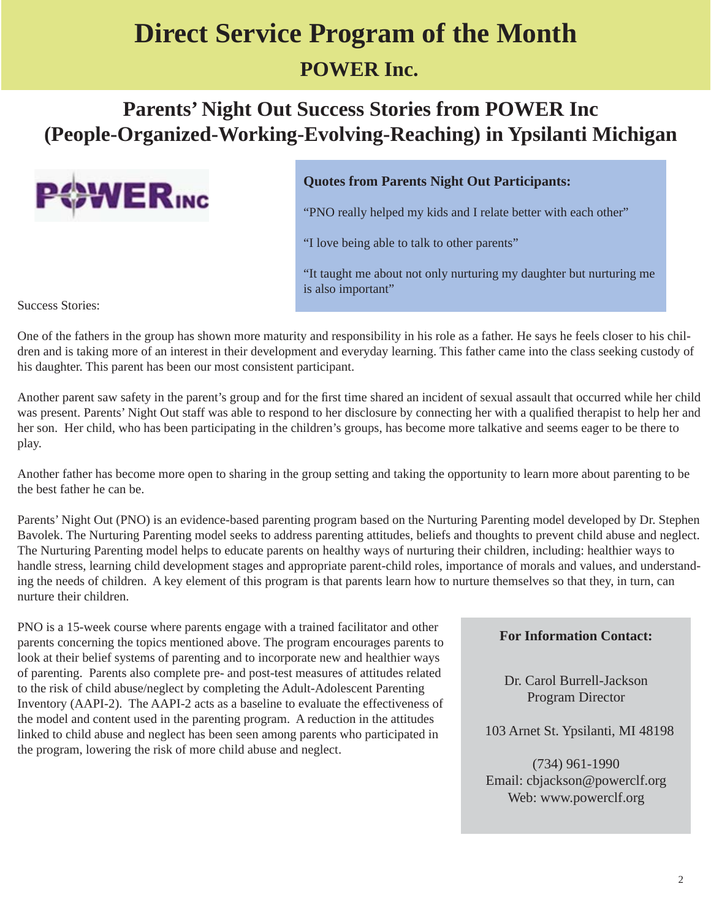## **Direct Service Program of the Month POWER Inc.**

## **Parents' Night Out Success Stories from POWER Inc (People-Organized-Working-Evolving-Reaching) in Ypsilanti Michigan**



#### **Quotes from Parents Night Out Participants:**

"PNO really helped my kids and I relate better with each other"

"I love being able to talk to other parents"

"It taught me about not only nurturing my daughter but nurturing me is also important"

Success Stories:

One of the fathers in the group has shown more maturity and responsibility in his role as a father. He says he feels closer to his children and is taking more of an interest in their development and everyday learning. This father came into the class seeking custody of his daughter. This parent has been our most consistent participant.

Another parent saw safety in the parent's group and for the first time shared an incident of sexual assault that occurred while her child was present. Parents' Night Out staff was able to respond to her disclosure by connecting her with a qualified therapist to help her and her son. Her child, who has been participating in the children's groups, has become more talkative and seems eager to be there to play.

Another father has become more open to sharing in the group setting and taking the opportunity to learn more about parenting to be the best father he can be.

Parents' Night Out (PNO) is an evidence-based parenting program based on the Nurturing Parenting model developed by Dr. Stephen Bavolek. The Nurturing Parenting model seeks to address parenting attitudes, beliefs and thoughts to prevent child abuse and neglect. The Nurturing Parenting model helps to educate parents on healthy ways of nurturing their children, including: healthier ways to handle stress, learning child development stages and appropriate parent-child roles, importance of morals and values, and understanding the needs of children. A key element of this program is that parents learn how to nurture themselves so that they, in turn, can nurture their children.

PNO is a 15-week course where parents engage with a trained facilitator and other parents concerning the topics mentioned above. The program encourages parents to look at their belief systems of parenting and to incorporate new and healthier ways of parenting. Parents also complete pre- and post-test measures of attitudes related to the risk of child abuse/neglect by completing the Adult-Adolescent Parenting Inventory (AAPI-2). The AAPI-2 acts as a baseline to evaluate the effectiveness of the model and content used in the parenting program. A reduction in the attitudes linked to child abuse and neglect has been seen among parents who participated in the program, lowering the risk of more child abuse and neglect.

#### **For Information Contact:**

Dr. Carol Burrell-Jackson Program Director

103 Arnet St. Ypsilanti, MI 48198

(734) 961-1990 Email: cbjackson@powerclf.org Web: www.powerclf.org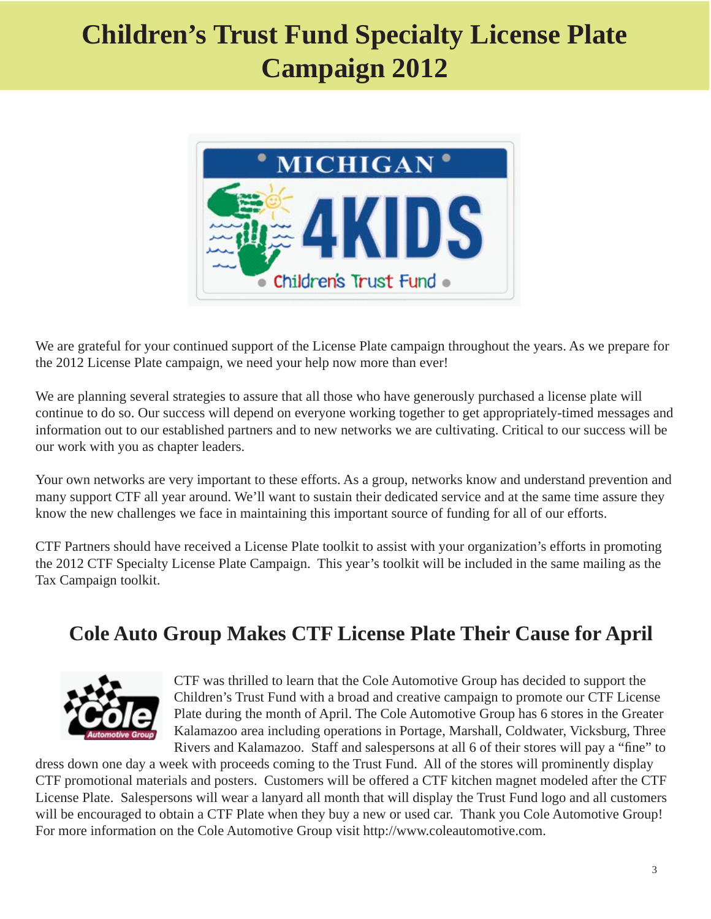# **Children's Trust Fund Specialty License Plate Campaign 2012**



We are grateful for your continued support of the License Plate campaign throughout the years. As we prepare for the 2012 License Plate campaign, we need your help now more than ever!

We are planning several strategies to assure that all those who have generously purchased a license plate will continue to do so. Our success will depend on everyone working together to get appropriately-timed messages and information out to our established partners and to new networks we are cultivating. Critical to our success will be our work with you as chapter leaders.

Your own networks are very important to these efforts. As a group, networks know and understand prevention and many support CTF all year around. We'll want to sustain their dedicated service and at the same time assure they know the new challenges we face in maintaining this important source of funding for all of our efforts.

CTF Partners should have received a License Plate toolkit to assist with your organization's efforts in promoting the 2012 CTF Specialty License Plate Campaign. This year's toolkit will be included in the same mailing as the Tax Campaign toolkit.

## **Cole Auto Group Makes CTF License Plate Their Cause for April**



CTF was thrilled to learn that the Cole Automotive Group has decided to support the Children's Trust Fund with a broad and creative campaign to promote our CTF License Plate during the month of April. The Cole Automotive Group has 6 stores in the Greater Kalamazoo area including operations in Portage, Marshall, Coldwater, Vicksburg, Three Rivers and Kalamazoo. Staff and salespersons at all 6 of their stores will pay a "fine" to

dress down one day a week with proceeds coming to the Trust Fund. All of the stores will prominently display CTF promotional materials and posters. Customers will be offered a CTF kitchen magnet modeled after the CTF License Plate. Salespersons will wear a lanyard all month that will display the Trust Fund logo and all customers will be encouraged to obtain a CTF Plate when they buy a new or used car. Thank you Cole Automotive Group! For more information on the Cole Automotive Group visit http://www.coleautomotive.com.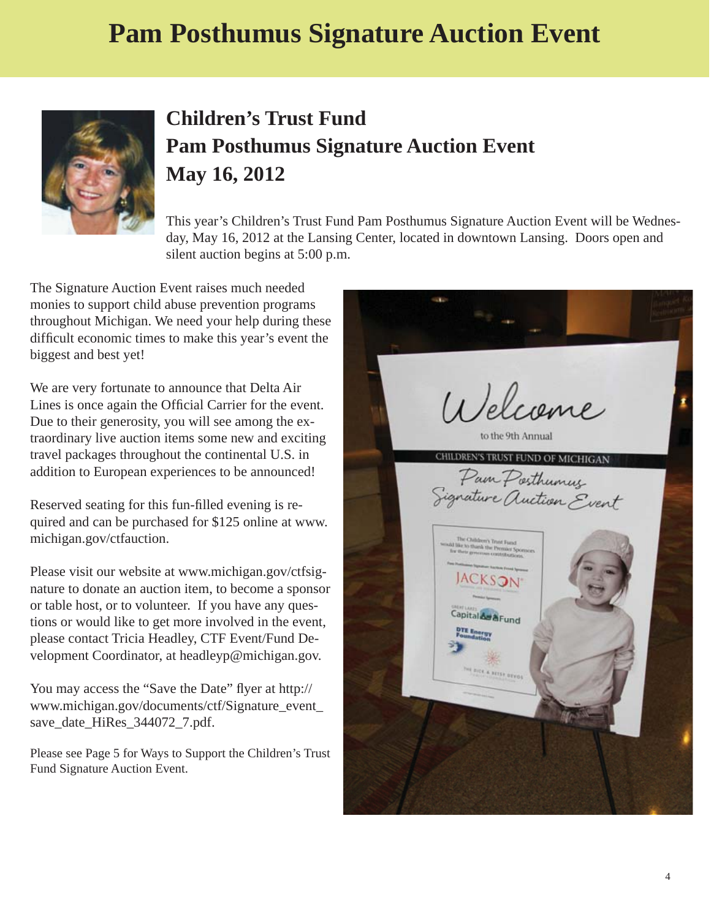## **Pam Posthumus Signature Auction Event**



## **Children's Trust Fund Pam Posthumus Signature Auction Event May 16, 2012**

This year's Children's Trust Fund Pam Posthumus Signature Auction Event will be Wednesday, May 16, 2012 at the Lansing Center, located in downtown Lansing. Doors open and silent auction begins at 5:00 p.m.

The Signature Auction Event raises much needed monies to support child abuse prevention programs throughout Michigan. We need your help during these difficult economic times to make this year's event the biggest and best yet!

We are very fortunate to announce that Delta Air Lines is once again the Official Carrier for the event. Due to their generosity, you will see among the extraordinary live auction items some new and exciting travel packages throughout the continental U.S. in addition to European experiences to be announced!

Reserved seating for this fun-filled evening is required and can be purchased for \$125 online at www. michigan.gov/ctfauction.

[Please visit our website at www.michigan.gov/ctfsig](www.michigan.gov/ctfsignature)nature to donate an auction item, to become a sponsor or table host, or to volunteer. If you have any questions or would like to get more involved in the event, please contact Tricia Headley, CTF Event/Fund Development Coordinator, at headleyp@michigan.gov.

You may access the "Save the Date" flyer at http:// [www.michigan.gov/documents/ctf/Signature\\_event\\_](http://www.michigan.gov/documents/ctf/Signature_event_save_date_HiRes_344072_7.pdf) save\_date\_HiRes\_344072\_7.pdf.

Please see Page 5 for Ways to Support the Children's Trust Fund Signature Auction Event.

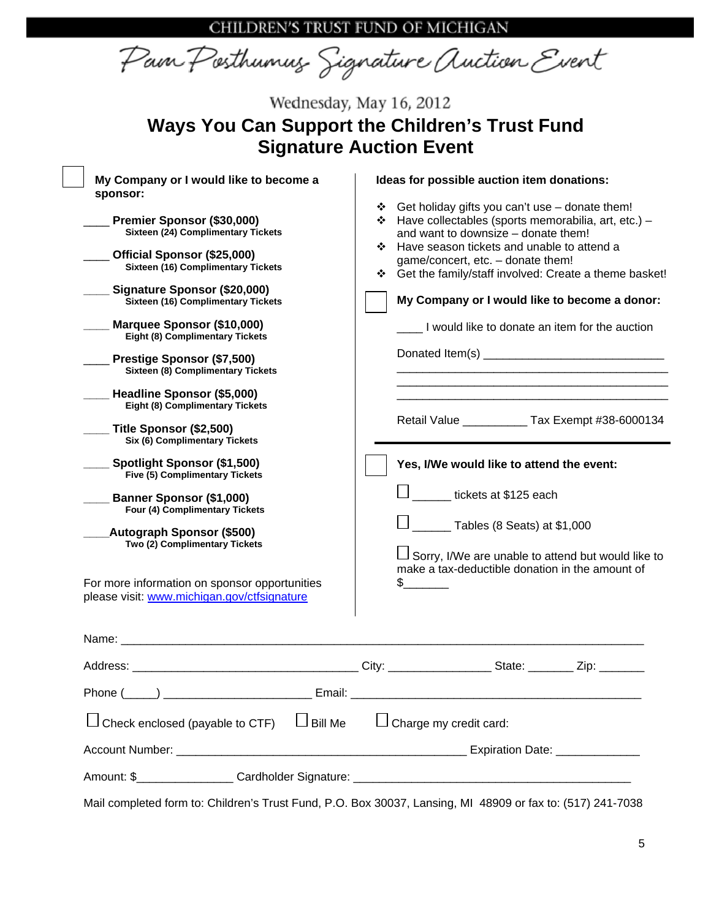CHILDREN'S TRUST FUND OF MICHIGAN

Pain Posthumus Signature Auction Event

| Wednesday, May 16, 2012<br><b>Ways You Can Support the Children's Trust Fund</b>                                                                                                                                                                                                                                                                                                                                                                                              |                                                                                                                                                                                                                                                                                                                                                                                                                                                                                         |
|-------------------------------------------------------------------------------------------------------------------------------------------------------------------------------------------------------------------------------------------------------------------------------------------------------------------------------------------------------------------------------------------------------------------------------------------------------------------------------|-----------------------------------------------------------------------------------------------------------------------------------------------------------------------------------------------------------------------------------------------------------------------------------------------------------------------------------------------------------------------------------------------------------------------------------------------------------------------------------------|
| My Company or I would like to become a<br>sponsor:<br>Premier Sponsor (\$30,000)<br>Sixteen (24) Complimentary Tickets<br>Official Sponsor (\$25,000)<br>Sixteen (16) Complimentary Tickets<br>Signature Sponsor (\$20,000)<br>Sixteen (16) Complimentary Tickets<br>Marquee Sponsor (\$10,000)<br>Eight (8) Complimentary Tickets<br>Prestige Sponsor (\$7,500)<br><b>Sixteen (8) Complimentary Tickets</b><br>Headline Sponsor (\$5,000)<br>Eight (8) Complimentary Tickets | <b>Signature Auction Event</b><br>Ideas for possible auction item donations:<br>❖ Get holiday gifts you can't use – donate them!<br>❖ Have collectables (sports memorabilia, art, etc.) –<br>and want to downsize - donate them!<br>❖ Have season tickets and unable to attend a<br>game/concert, etc. - donate them!<br>Get the family/staff involved: Create a theme basket!<br>豪心<br>My Company or I would like to become a donor:<br>I would like to donate an item for the auction |
| Title Sponsor (\$2,500)<br>Six (6) Complimentary Tickets<br>Spotlight Sponsor (\$1,500)<br>Five (5) Complimentary Tickets<br><b>Banner Sponsor (\$1,000)</b><br>Four (4) Complimentary Tickets<br>Autograph Sponsor (\$500)<br>Two (2) Complimentary Tickets<br>For more information on sponsor opportunities<br>please visit: www.michigan.gov/ctfsignature                                                                                                                  | Retail Value _____________ Tax Exempt #38-6000134<br>Yes, I/We would like to attend the event:<br>tickets at \$125 each<br>$\frac{1}{2}$ Tables (8 Seats) at \$1,000<br>$\Box$ Sorry, I/We are unable to attend but would like to<br>make a tax-deductible donation in the amount of<br>S                                                                                                                                                                                               |
| $\Box$ Bill Me<br>Check enclosed (payable to CTF)                                                                                                                                                                                                                                                                                                                                                                                                                             | $\Box$ Charge my credit card:                                                                                                                                                                                                                                                                                                                                                                                                                                                           |

Mail completed form to: Children's Trust Fund, P.O. Box 30037, Lansing, MI 48909 or fax to: (517) 241-7038